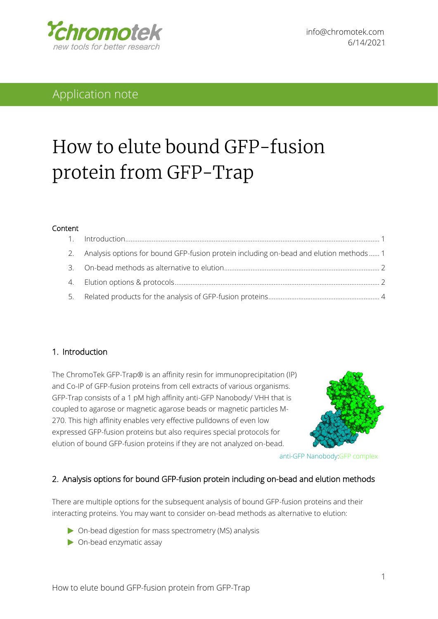

# Application note

# How to elute bound GFP-fusion protein from GFP-Trap

#### Content

| 2. Analysis options for bound GFP-fusion protein including on-bead and elution methods 1 |  |
|------------------------------------------------------------------------------------------|--|
|                                                                                          |  |
|                                                                                          |  |
|                                                                                          |  |

#### <span id="page-0-0"></span>1. Introduction

The ChromoTek GFP-Trap® is an affinity resin for immunoprecipitation (IP) and Co-IP of GFP-fusion proteins from cell extracts of various organisms. GFP-Trap consists of a 1 pM high affinity anti-GFP Nanobody/ VHH that is coupled to agarose or magnetic agarose beads or magnetic particles M-270. This high affinity enables very effective pulldowns of even low expressed GFP-fusion proteins but also requires special protocols for elution of bound GFP-fusion proteins if they are not analyzed on-bead.



anti-GFP Nanobody:GFP complex

#### <span id="page-0-1"></span>2. Analysis options for bound GFP-fusion protein including on-bead and elution methods

There are multiple options for the subsequent analysis of bound GFP-fusion proteins and their interacting proteins. You may want to consider on-bead methods as alternative to elution:

- On-bead digestion for mass spectrometry (MS) analysis
- On-bead enzymatic assay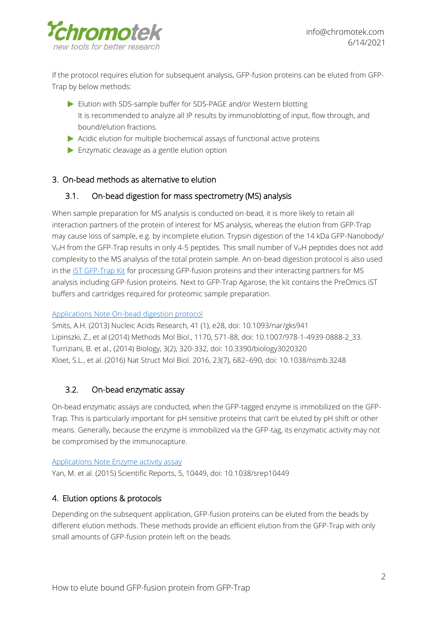

If the protocol requires elution for subsequent analysis, GFP-fusion proteins can be eluted from GFP-Trap by below methods:

- Elution with SDS-sample buffer for SDS-PAGE and/or Western blotting It is recommended to analyze all IP results by immunoblotting of input, flow through, and bound/elution fractions.
- $\triangleright$  Acidic elution for multiple biochemical assays of functional active proteins
- Enzymatic cleavage as a gentle elution option

# <span id="page-1-0"></span>3. On-bead methods as alternative to elution

### 3.1. On-bead digestion for mass spectrometry (MS) analysis

When sample preparation for MS analysis is conducted on-bead, it is more likely to retain all interaction partners of the protein of interest for MS analysis, whereas the elution from GFP-Trap may cause loss of sample, e.g. by incomplete elution. Trypsin digestion of the 14 kDa GFP-Nanobody/  $V_HH$  from the GFP-Trap results in only 4-5 peptides. This small number of  $V_HH$  peptides does not add complexity to the MS analysis of the total protein sample. An on-bead digestion protocol is also used in the **IST GFP-Trap Kit** for processing GFP-fusion proteins and their interacting partners for MS analysis including GFP-fusion proteins. Next to GFP-Trap Agarose, the kit contains the PreOmics iST buffers and cartridges required for proteomic sample preparation.

#### [Applications Note On-bead digestion protocol](https://www.chromotek.com/fileadmin/content/PDFs/Application_notes/App_note_ChromoTek_on_bead_digest_protocol.pdf)

Smits, A.H. (2013) Nucleic Acids Research, 41 (1), e28, doi: 10.1093/nar/gks941 Lipinszki, Z., et al (2014) Methods Mol Biol., 1170, 571-88, doi: 10.1007/978-1-4939-0888-2\_33. Turriziani, B. et al., (2014) Biology, 3(2), 320-332, doi: 10.3390/biology3020320 Kloet, S.L., et al. (2016) Nat Struct Mol Biol. 2016, 23(7), 682–690, doi: 10.1038/nsmb.3248

# 3.2. On-bead enzymatic assay

On-bead enzymatic assays are conducted, when the GFP-tagged enzyme is immobilized on the GFP-Trap. This is particularly important for pH sensitive proteins that can't be eluted by pH shift or other means. Generally, because the enzyme is immobilized via the GFP-tag, its enzymatic activity may not be compromised by the immunocapture.

#### [Applications Note Enzyme activity assay](https://www.chromotek.com/fileadmin/content/PDFs/Application_notes/Applicaton_note_enzyme_activity_111202.pdf)

Yan, M. et al. (2015) Scientific Reports, 5, 10449, doi: 10.1038/srep10449

# <span id="page-1-1"></span>4. Elution options & protocols

Depending on the subsequent application, GFP-fusion proteins can be eluted from the beads by different elution methods. These methods provide an efficient elution from the GFP-Trap with only small amounts of GFP-fusion protein left on the beads.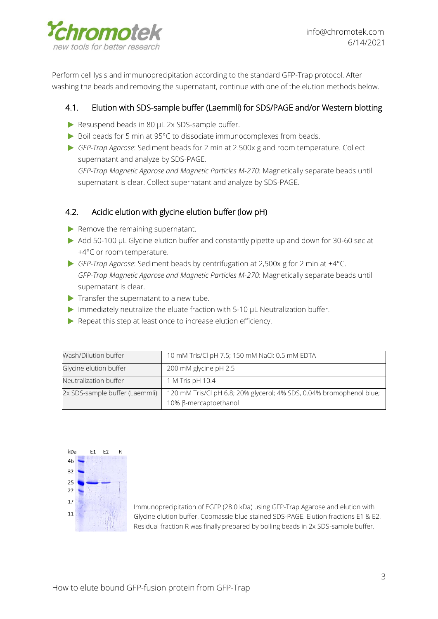

Perform cell lysis and immunoprecipitation according to the standard GFP-Trap protocol. After washing the beads and removing the supernatant, continue with one of the elution methods below.

# 4.1. Elution with SDS-sample buffer (Laemmli) for SDS/PAGE and/or Western blotting

- Resuspend beads in 80 µL 2x SDS-sample buffer.
- ▶ Boil beads for 5 min at 95°C to dissociate immunocomplexes from beads.
- *GFP-Trap Agarose*: Sediment beads for 2 min at 2.500x g and room temperature. Collect supernatant and analyze by SDS-PAGE.

*GFP-Trap Magnetic Agarose and Magnetic Particles M-270*: Magnetically separate beads until supernatant is clear. Collect supernatant and analyze by SDS-PAGE.

# 4.2. Acidic elution with glycine elution buffer (low pH)

- $\blacktriangleright$  Remove the remaining supernatant.
- Add 50-100 µL Glycine elution buffer and constantly pipette up and down for 30-60 sec at +4°C or room temperature.
- *GFP-Trap Agarose*: Sediment beads by centrifugation at 2,500x g for 2 min at +4°C. *GFP-Trap Magnetic Agarose and Magnetic Particles M-270*: Magnetically separate beads until supernatant is clear.
- $\blacktriangleright$  Transfer the supernatant to a new tube.
- Immediately neutralize the eluate fraction with 5-10 µL Neutralization buffer.
- Repeat this step at least once to increase elution efficiency.

| Wash/Dilution buffer           | 10 mM Tris/Cl pH 7.5; 150 mM NaCl; 0.5 mM EDTA                                                |  |  |
|--------------------------------|-----------------------------------------------------------------------------------------------|--|--|
| Glycine elution buffer         | 200 mM glycine pH 2.5                                                                         |  |  |
| Neutralization buffer          | 1 M Tris pH 10.4                                                                              |  |  |
| 2x SDS-sample buffer (Laemmli) | 120 mM Tris/Cl pH 6.8; 20% glycerol; 4% SDS, 0.04% bromophenol blue;<br>10% β-mercaptoethanol |  |  |



Immunoprecipitation of EGFP (28.0 kDa) using GFP-Trap Agarose and elution with Glycine elution buffer. Coomassie blue stained SDS-PAGE. Elution fractions E1 & E2. Residual fraction R was finally prepared by boiling beads in 2x SDS-sample buffer.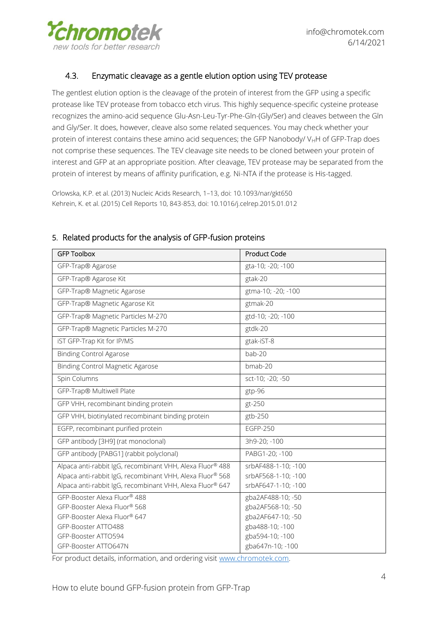

# 4.3. Enzymatic cleavage as a gentle elution option using TEV protease

The gentlest elution option is the cleavage of the protein of interest from the GFP using a specific protease like TEV protease from tobacco etch virus. This highly sequence-specific cysteine protease recognizes the amino-acid sequence Glu-Asn-Leu-Tyr-Phe-Gln-(Gly/Ser) and cleaves between the Gln and Gly/Ser. It does, however, cleave also some related sequences. You may check whether your protein of interest contains these amino acid sequences; the GFP Nanobody/  $V_HH$  of GFP-Trap does not comprise these sequences. The TEV cleavage site needs to be cloned between your protein of interest and GFP at an appropriate position. After cleavage, TEV protease may be separated from the protein of interest by means of affinity purification, e.g. Ni-NTA if the protease is His-tagged.

Orlowska, K.P. et al. (2013) Nucleic Acids Research, 1–13, doi: 10.1093/nar/gkt650 Kehrein, K. et al. (2015) Cell Reports 10, 843-853, doi: 10.1016/j.celrep.2015.01.012

| <b>GFP Toolbox</b>                                                                                                                                                                  | <b>Product Code</b>                                                                                                   |
|-------------------------------------------------------------------------------------------------------------------------------------------------------------------------------------|-----------------------------------------------------------------------------------------------------------------------|
| GFP-Trap® Agarose                                                                                                                                                                   | gta-10; -20; -100                                                                                                     |
| GFP-Trap® Agarose Kit                                                                                                                                                               | gtak-20                                                                                                               |
| GFP-Trap® Magnetic Agarose                                                                                                                                                          | gtma-10; -20; -100                                                                                                    |
| GFP-Trap® Magnetic Agarose Kit                                                                                                                                                      | gtmak-20                                                                                                              |
| GFP-Trap® Magnetic Particles M-270                                                                                                                                                  | gtd-10; -20; -100                                                                                                     |
| GFP-Trap® Magnetic Particles M-270                                                                                                                                                  | gtdk-20                                                                                                               |
| iST GFP-Trap Kit for IP/MS                                                                                                                                                          | gtak-iST-8                                                                                                            |
| <b>Binding Control Agarose</b>                                                                                                                                                      | bab-20                                                                                                                |
| <b>Binding Control Magnetic Agarose</b>                                                                                                                                             | bmab-20                                                                                                               |
| Spin Columns                                                                                                                                                                        | sct-10; -20; -50                                                                                                      |
| GFP-Trap® Multiwell Plate                                                                                                                                                           | gtp-96                                                                                                                |
| GFP VHH, recombinant binding protein                                                                                                                                                | gt-250                                                                                                                |
| GFP VHH, biotinylated recombinant binding protein                                                                                                                                   | gtb-250                                                                                                               |
| EGFP, recombinant purified protein                                                                                                                                                  | <b>EGFP-250</b>                                                                                                       |
| GFP antibody [3H9] (rat monoclonal)                                                                                                                                                 | 3h9-20; -100                                                                                                          |
| GFP antibody [PABG1] (rabbit polyclonal)                                                                                                                                            | PABG1-20; -100                                                                                                        |
| Alpaca anti-rabbit IgG, recombinant VHH, Alexa Fluor® 488<br>Alpaca anti-rabbit IgG, recombinant VHH, Alexa Fluor® 568<br>Alpaca anti-rabbit IgG, recombinant VHH, Alexa Fluor® 647 | srbAF488-1-10; -100<br>srbAF568-1-10; -100<br>srbAF647-1-10; -100                                                     |
| GFP-Booster Alexa Fluor® 488<br>GFP-Booster Alexa Fluor® 568<br>GFP-Booster Alexa Fluor® 647<br>GFP-Booster ATTO488<br>GFP-Booster ATTO594<br>GFP-Booster ATTO647N                  | gba2AF488-10; -50<br>gba2AF568-10; -50<br>gba2AF647-10; -50<br>gba488-10; -100<br>gba594-10; -100<br>gba647n-10; -100 |

#### <span id="page-3-0"></span>5. Related products for the analysis of GFP-fusion proteins

For product details, information, and ordering visit [www.chromotek.com.](http://www.chromotek.com/)